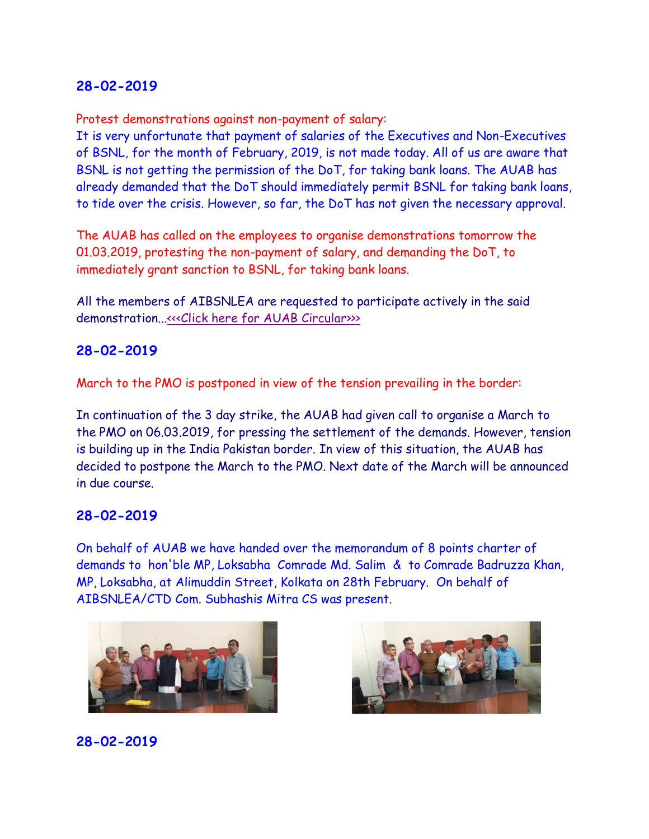## **28-02-2019**

Protest demonstrations against non-payment of salary:

It is very unfortunate that payment of salaries of the Executives and Non-Executives of BSNL, for the month of February, 2019, is not made today. All of us are aware that BSNL is not getting the permission of the DoT, for taking bank loans. The AUAB has already demanded that the DoT should immediately permit BSNL for taking bank loans, to tide over the crisis. However, so far, the DoT has not given the necessary approval.

The AUAB has called on the employees to organise demonstrations tomorrow the 01.03.2019, protesting the non-payment of salary, and demanding the DoT, to immediately grant sanction to BSNL, for taking bank loans.

All the members of AIBSNLEA are requested to participate actively in the said demonstration..[.<<<Click here for AUAB Circular>>>](http://www.aibsnleachq.in/cirular_28022019.pdf)>

## **28-02-2019**

March to the PMO is postponed in view of the tension prevailing in the border:

In continuation of the 3 day strike, the AUAB had given call to organise a March to the PMO on 06.03.2019, for pressing the settlement of the demands. However, tension is building up in the India Pakistan border. In view of this situation, the AUAB has decided to postpone the March to the PMO. Next date of the March will be announced in due course.

### **28-02-2019**

On behalf of AUAB we have handed over the memorandum of 8 points charter of demands to hon'ble MP, Loksabha Comrade Md. Salim & to Comrade Badruzza Khan, MP, Loksabha, at Alimuddin Street, Kolkata on 28th February. On behalf of AIBSNLEA/CTD Com. Subhashis Mitra CS was present.



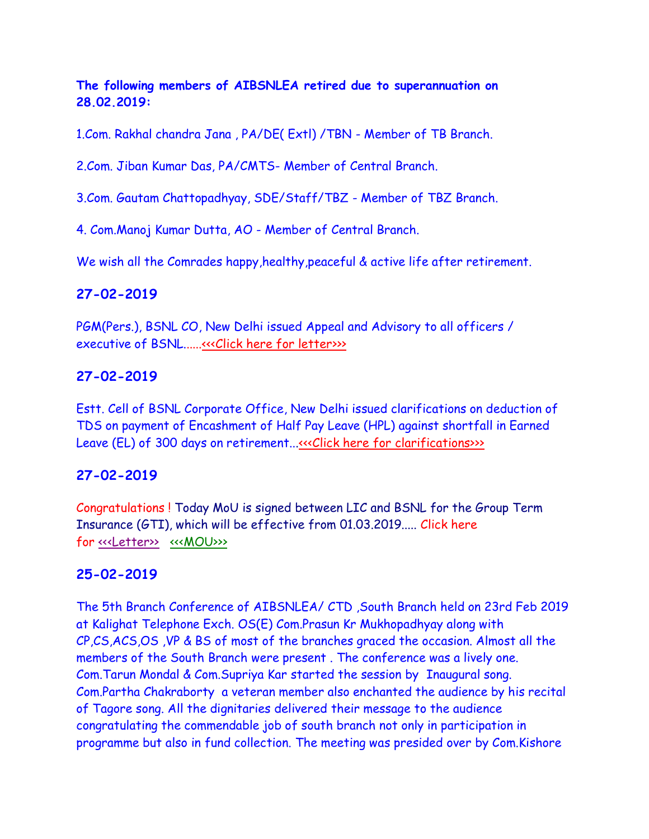## **The following members of AIBSNLEA retired due to superannuation on 28.02.2019:**

1.Com. Rakhal chandra Jana , PA/DE( Extl) /TBN - Member of TB Branch.

2.Com. Jiban Kumar Das, PA/CMTS- Member of Central Branch.

3.Com. Gautam Chattopadhyay, SDE/Staff/TBZ - Member of TBZ Branch.

4. Com.Manoj Kumar Dutta, AO - Member of Central Branch.

We wish all the Comrades happy, healthy, peaceful & active life after retirement.

### **27-02-2019**

PGM(Pers.), BSNL CO, New Delhi issued Appeal and Advisory to all officers / executive of BSNL.....[.<<<Click here for letter>>>](http://www.aibsnleachq.in/Appeal%20&%20Advisory_27.02.2019.PDF)>

## **27-02-2019**

Estt. Cell of BSNL Corporate Office, New Delhi issued clarifications on deduction of TDS on payment of Encashment of Half Pay Leave (HPL) against shortfall in Earned Leave (EL) of 300 days on retirement..[.<<<Click here for clarifications>>>](http://www.aibsnleachq.in/scanner_20190227_124455.jpg)

### **27-02-2019**

Congratulations ! Today MoU is signed between LIC and BSNL for the Group Term Insurance (GTI), which will be effective from 01.03.2019..... Click here for <<<Letter>>[<<<MOU>>>](http://www.aibsnleachq.in/GTI%20MoU.pdf)>>>>

### **25-02-2019**

The 5th Branch Conference of AIBSNLEA/ CTD ,South Branch held on 23rd Feb 2019 at Kalighat Telephone Exch. OS(E) Com.Prasun Kr Mukhopadhyay along with CP,CS,ACS,OS ,VP & BS of most of the branches graced the occasion. Almost all the members of the South Branch were present . The conference was a lively one. Com.Tarun Mondal & Com.Supriya Kar started the session by Inaugural song. Com.Partha Chakraborty a veteran member also enchanted the audience by his recital of Tagore song. All the dignitaries delivered their message to the audience congratulating the commendable job of south branch not only in participation in programme but also in fund collection. The meeting was presided over by Com.Kishore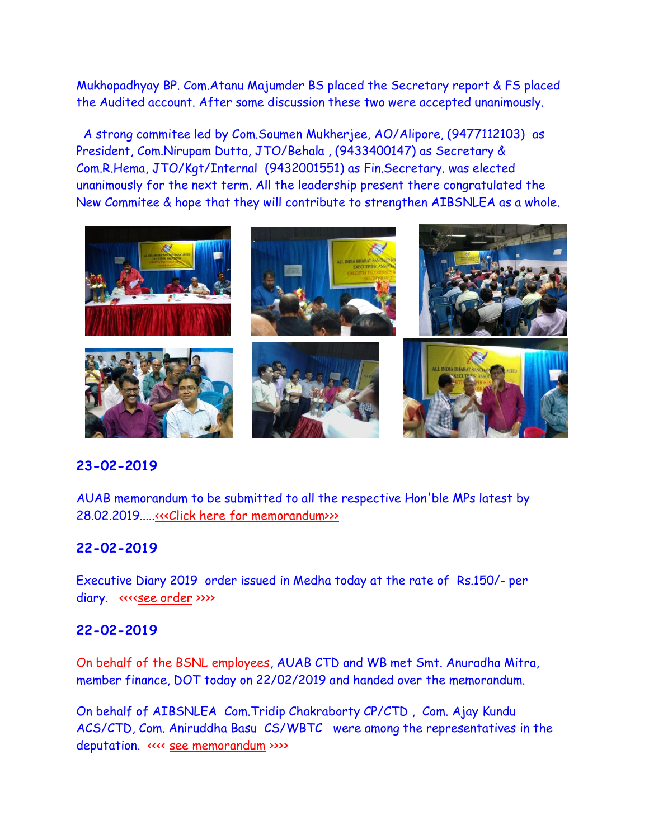Mukhopadhyay BP. Com.Atanu Majumder BS placed the Secretary report & FS placed the Audited account. After some discussion these two were accepted unanimously.

A strong commitee led by Com.Soumen Mukherjee, AO/Alipore, (9477112103) as President, Com.Nirupam Dutta, JTO/Behala , (9433400147) as Secretary & Com.R.Hema, JTO/Kgt/Internal (9432001551) as Fin.Secretary. was elected unanimously for the next term. All the leadership present there congratulated the New Commitee & hope that they will contribute to strengthen AIBSNLEA as a whole.



### **23-02-2019**

AUAB memorandum to be submitted to all the respective Hon'ble MPs latest by 28.02.2019....[.<<<Click here for memorandum>>>](http://www.aibsnleachq.in/Memorandum%20to%20MPs.doc)

### **22-02-2019**

Executive Diary 2019 order issued in Medha today at the rate of Rs.150/- per diary. «<[<see order](http://aibsnleawb.org/Executive%20Diary%20Order2019.pdf) >>>>

#### **22-02-2019**

On behalf of the BSNL employees, AUAB CTD and WB met Smt. Anuradha Mitra, member finance, DOT today on 22/02/2019 and handed over the memorandum.

On behalf of AIBSNLEA Com.Tridip Chakraborty CP/CTD , Com. Ajay Kundu ACS/CTD, Com. Aniruddha Basu CS/WBTC were among the representatives in the deputation. «<< [see memorandum](http://aibsnleawb.org/Memorandum%2022022019.pdf) >>>>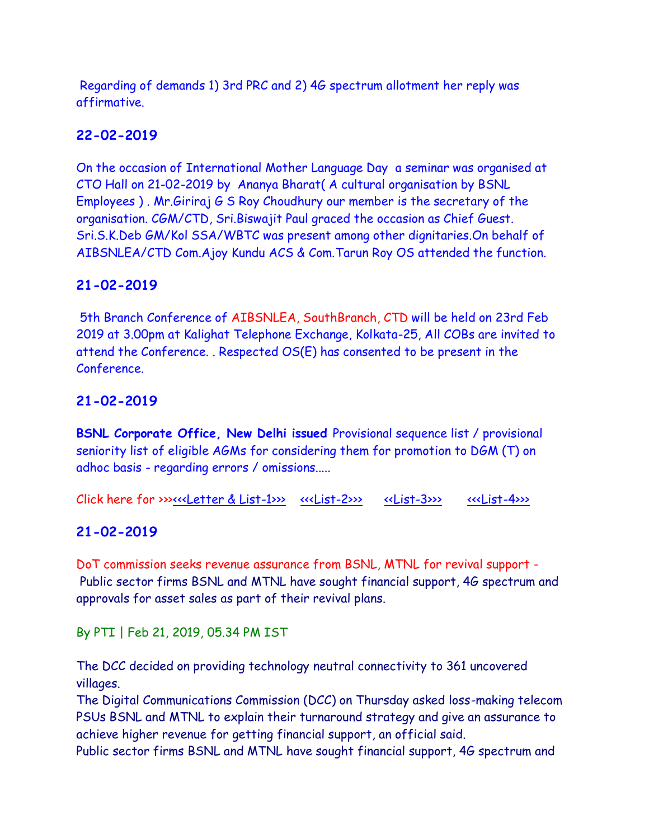Regarding of demands 1) 3rd PRC and 2) 4G spectrum allotment her reply was affirmative.

# **22-02-2019**

On the occasion of International Mother Language Day a seminar was organised at CTO Hall on 21-02-2019 by Ananya Bharat( A cultural organisation by BSNL Employees ) . Mr.Giriraj G S Roy Choudhury our member is the secretary of the organisation. CGM/CTD, Sri.Biswajit Paul graced the occasion as Chief Guest. Sri.S.K.Deb GM/Kol SSA/WBTC was present among other dignitaries.On behalf of AIBSNLEA/CTD Com.Ajoy Kundu ACS & Com.Tarun Roy OS attended the function.

# **21-02-2019**

5th Branch Conference of AIBSNLEA, SouthBranch, CTD will be held on 23rd Feb 2019 at 3.00pm at Kalighat Telephone Exchange, Kolkata-25, All COBs are invited to attend the Conference. . Respected OS(E) has consented to be present in the Conference.

# **21-02-2019**

**BSNL Corporate Office, New Delhi issued** Provisional sequence list / provisional seniority list of eligible AGMs for considering them for promotion to DGM (T) on adhoc basis - regarding errors / omissions.....

Click here for >>[><<<Letter & List-1>>>](http://www.aibsnleachq.in/Pro%20Sen%20List-AGM-01_21.02.2019.PDF) [<<<List-2>>>](http://www.aibsnleachq.in/Pro%20Sen%20List-AGM-02_21.02.2019.PDF) [<<List-3>>>](http://www.aibsnleachq.in/Pro%20Sen%20List-AGM-03_21.02.2019.PDF) [<<<List-4>>>](http://www.aibsnleachq.in/Pro%20Sen%20List-AGM-04_21.02.2019.PDF)>>>>> <<<

## **21-02-2019**

DoT commission seeks revenue assurance from BSNL, MTNL for revival support - Public sector firms BSNL and MTNL have sought financial support, 4G spectrum and approvals for asset sales as part of their revival plans.

By PTI | Feb 21, 2019, 05.34 PM IST

The DCC decided on providing technology neutral connectivity to 361 uncovered villages.

The Digital Communications Commission (DCC) on Thursday asked loss-making telecom PSUs BSNL and MTNL to explain their turnaround strategy and give an assurance to achieve higher revenue for getting financial support, an official said.

Public sector firms BSNL and MTNL have sought financial support, 4G spectrum and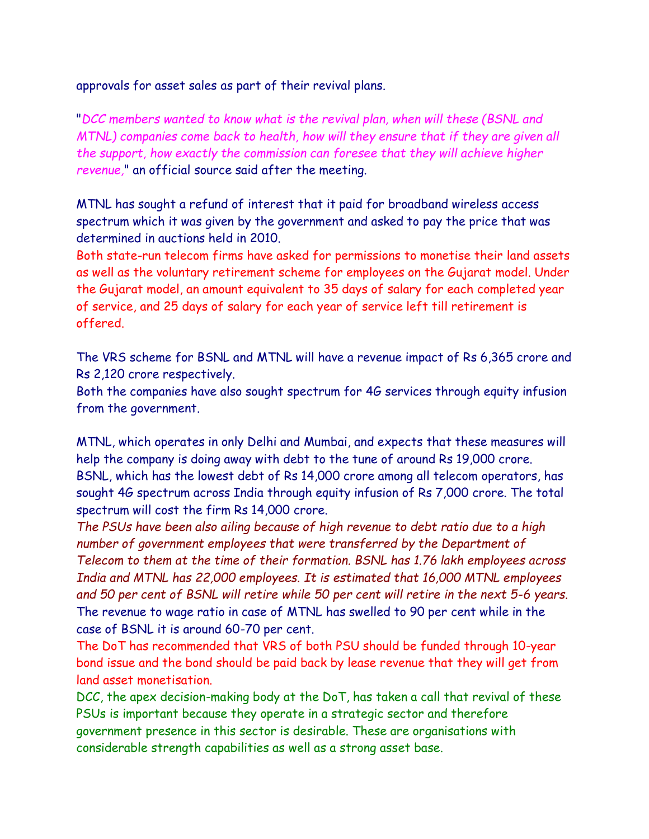approvals for asset sales as part of their revival plans.

"*DCC members wanted to know what is the revival plan, when will these (BSNL and MTNL) companies come back to health, how will they ensure that if they are given all the support, how exactly the commission can foresee that they will achieve higher revenue,*" an official source said after the meeting.

MTNL has sought a refund of interest that it paid for broadband wireless access spectrum which it was given by the government and asked to pay the price that was determined in auctions held in 2010.

Both state-run telecom firms have asked for permissions to monetise their land assets as well as the voluntary retirement scheme for employees on the Gujarat model. Under the Gujarat model, an amount equivalent to 35 days of salary for each completed year of service, and 25 days of salary for each year of service left till retirement is offered.

The VRS scheme for BSNL and MTNL will have a revenue impact of Rs 6,365 crore and Rs 2,120 crore respectively.

Both the companies have also sought spectrum for 4G services through equity infusion from the government.

MTNL, which operates in only Delhi and Mumbai, and expects that these measures will help the company is doing away with debt to the tune of around Rs 19,000 crore. BSNL, which has the lowest debt of Rs 14,000 crore among all telecom operators, has sought 4G spectrum across India through equity infusion of Rs 7,000 crore. The total spectrum will cost the firm Rs 14,000 crore.

*The PSUs have been also ailing because of high revenue to debt ratio due to a high number of government employees that were transferred by the Department of Telecom to them at the time of their formation. BSNL has 1.76 lakh employees across India and MTNL has 22,000 employees. It is estimated that 16,000 MTNL employees and 50 per cent of BSNL will retire while 50 per cent will retire in the next 5-6 years.* The revenue to wage ratio in case of MTNL has swelled to 90 per cent while in the case of BSNL it is around 60-70 per cent.

The DoT has recommended that VRS of both PSU should be funded through 10-year bond issue and the bond should be paid back by lease revenue that they will get from land asset monetisation.

DCC, the apex decision-making body at the DoT, has taken a call that revival of these PSUs is important because they operate in a strategic sector and therefore government presence in this sector is desirable. These are organisations with considerable strength capabilities as well as a strong asset base.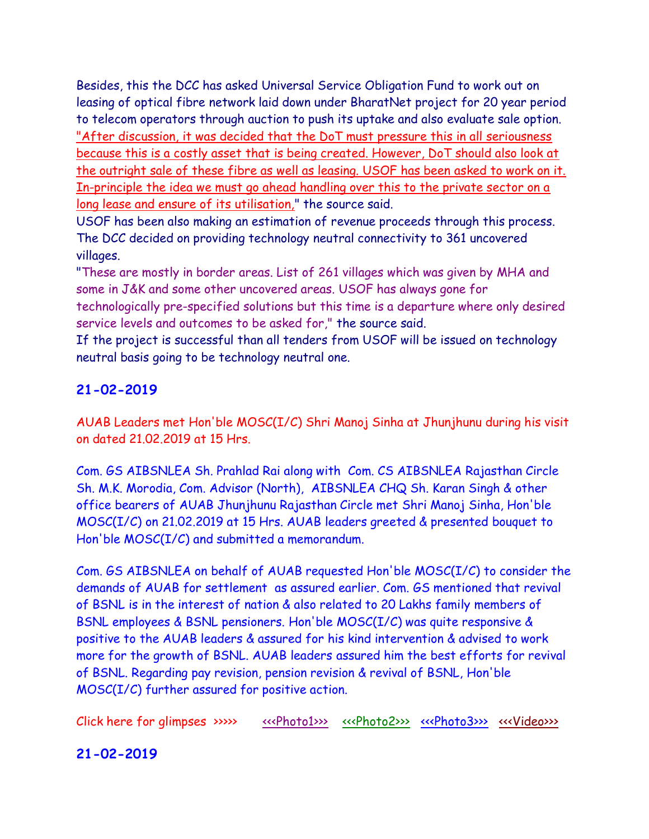Besides, this the DCC has asked Universal Service Obligation Fund to work out on leasing of optical fibre network laid down under BharatNet project for 20 year period to telecom operators through auction to push its uptake and also evaluate sale option. "After discussion, it was decided that the DoT must pressure this in all seriousness because this is a costly asset that is being created. However, DoT should also look at the outright sale of these fibre as well as leasing. USOF has been asked to work on it. In-principle the idea we must go ahead handling over this to the private sector on a long lease and ensure of its utilisation," the source said.

USOF has been also making an estimation of revenue proceeds through this process. The DCC decided on providing technology neutral connectivity to 361 uncovered villages.

"These are mostly in border areas. List of 261 villages which was given by MHA and some in J&K and some other uncovered areas. USOF has always gone for technologically pre-specified solutions but this time is a departure where only desired service levels and outcomes to be asked for," the source said.

If the project is successful than all tenders from USOF will be issued on technology neutral basis going to be technology neutral one.

# **21-02-2019**

AUAB Leaders met Hon'ble MOSC(I/C) Shri Manoj Sinha at Jhunjhunu during his visit on dated 21.02.2019 at 15 Hrs.

Com. GS AIBSNLEA Sh. Prahlad Rai along with Com. CS AIBSNLEA Rajasthan Circle Sh. M.K. Morodia, Com. Advisor (North), AIBSNLEA CHQ Sh. Karan Singh & other office bearers of AUAB Jhunjhunu Rajasthan Circle met Shri Manoj Sinha, Hon'ble MOSC(I/C) on 21.02.2019 at 15 Hrs. AUAB leaders greeted & presented bouquet to Hon'ble MOSC(I/C) and submitted a memorandum.

Com. GS AIBSNLEA on behalf of AUAB requested Hon'ble MOSC(I/C) to consider the demands of AUAB for settlement as assured earlier. Com. GS mentioned that revival of BSNL is in the interest of nation & also related to 20 Lakhs family members of BSNL employees & BSNL pensioners. Hon'ble MOSC(I/C) was quite responsive & positive to the AUAB leaders & assured for his kind intervention & advised to work more for the growth of BSNL. AUAB leaders assured him the best efforts for revival of BSNL. Regarding pay revision, pension revision & revival of BSNL, Hon'ble MOSC(I/C) further assured for positive action.

Click here for glimpses >>>> [<<<Photo1>>>](http://www.aibsnleachq.in/d2c55639-1f18-49b9-b478-d7ab560d2fd8.jpg) [<<<Photo2>>>](http://www.aibsnleachq.in/7bb9509c-5f91-48b0-8690-29957b31af00.jpg) [<<<Photo3>>>](http://www.aibsnleachq.in/b66f335b-34c9-4059-a8b0-829e73e90fde.jpg) <<</><<<<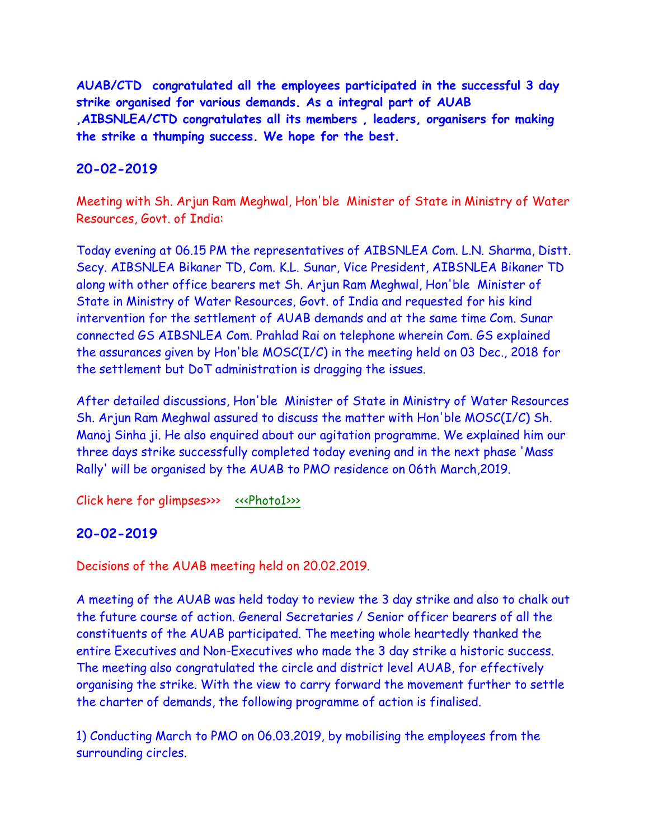**AUAB/CTD congratulated all the employees participated in the successful 3 day strike organised for various demands. As a integral part of AUAB ,AIBSNLEA/CTD congratulates all its members , leaders, organisers for making the strike a thumping success. We hope for the best.**

### **20-02-2019**

Meeting with Sh. Arjun Ram Meghwal, Hon'ble Minister of State in Ministry of Water Resources, Govt. of India:

Today evening at 06.15 PM the representatives of AIBSNLEA Com. L.N. Sharma, Distt. Secy. AIBSNLEA Bikaner TD, Com. K.L. Sunar, Vice President, AIBSNLEA Bikaner TD along with other office bearers met Sh. Arjun Ram Meghwal, Hon'ble Minister of State in Ministry of Water Resources, Govt. of India and requested for his kind intervention for the settlement of AUAB demands and at the same time Com. Sunar connected GS AIBSNLEA Com. Prahlad Rai on telephone wherein Com. GS explained the assurances given by Hon'ble MOSC(I/C) in the meeting held on 03 Dec., 2018 for the settlement but DoT administration is dragging the issues.

After detailed discussions, Hon'ble Minister of State in Ministry of Water Resources Sh. Arjun Ram Meghwal assured to discuss the matter with Hon'ble MOSC(I/C) Sh. Manoj Sinha ji. He also enquired about our agitation programme. We explained him our three days strike successfully completed today evening and in the next phase 'Mass Rally' will be organised by the AUAB to PMO residence on 06th March,2019.

Click here for glimpses>>> [<<<Photo1>>>](http://www.aibsnleachq.in/6c7aa9eb-e142-4545-8a27-44170d17dacc.jpg)

## **20-02-2019**

Decisions of the AUAB meeting held on 20.02.2019.

A meeting of the AUAB was held today to review the 3 day strike and also to chalk out the future course of action. General Secretaries / Senior officer bearers of all the constituents of the AUAB participated. The meeting whole heartedly thanked the entire Executives and Non-Executives who made the 3 day strike a historic success. The meeting also congratulated the circle and district level AUAB, for effectively organising the strike. With the view to carry forward the movement further to settle the charter of demands, the following programme of action is finalised.

1) Conducting March to PMO on 06.03.2019, by mobilising the employees from the surrounding circles.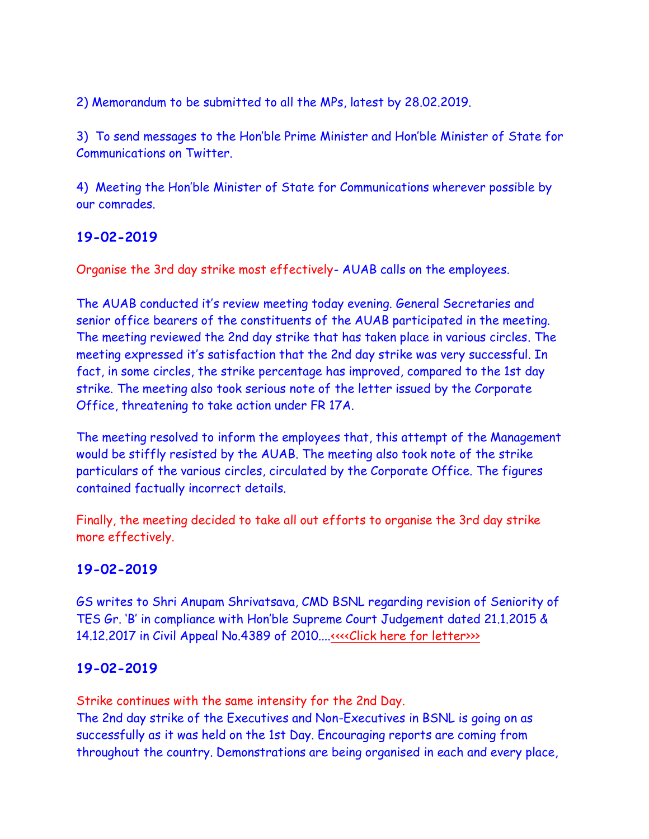2) Memorandum to be submitted to all the MPs, latest by 28.02.2019.

3) To send messages to the Hon'ble Prime Minister and Hon'ble Minister of State for Communications on Twitter.

4) Meeting the Hon'ble Minister of State for Communications wherever possible by our comrades.

# **19-02-2019**

Organise the 3rd day strike most effectively- AUAB calls on the employees.

The AUAB conducted it's review meeting today evening. General Secretaries and senior office bearers of the constituents of the AUAB participated in the meeting. The meeting reviewed the 2nd day strike that has taken place in various circles. The meeting expressed it's satisfaction that the 2nd day strike was very successful. In fact, in some circles, the strike percentage has improved, compared to the 1st day strike. The meeting also took serious note of the letter issued by the Corporate Office, threatening to take action under FR 17A.

The meeting resolved to inform the employees that, this attempt of the Management would be stiffly resisted by the AUAB. The meeting also took note of the strike particulars of the various circles, circulated by the Corporate Office. The figures contained factually incorrect details.

Finally, the meeting decided to take all out efforts to organise the 3rd day strike more effectively.

# **19-02-2019**

GS writes to Shri Anupam Shrivatsava, CMD BSNL regarding revision of Seniority of TES Gr. 'B' in compliance with Hon'ble Supreme Court Judgement dated 21.1.2015 & 14.12.2017 in Civil Appeal No.4389 of 2010...[.<<<<Click here for letter>>>](http://www.aibsnleachq.in/Letter_206.pdf)

# **19-02-2019**

Strike continues with the same intensity for the 2nd Day. The 2nd day strike of the Executives and Non-Executives in BSNL is going on as successfully as it was held on the 1st Day. Encouraging reports are coming from throughout the country. Demonstrations are being organised in each and every place,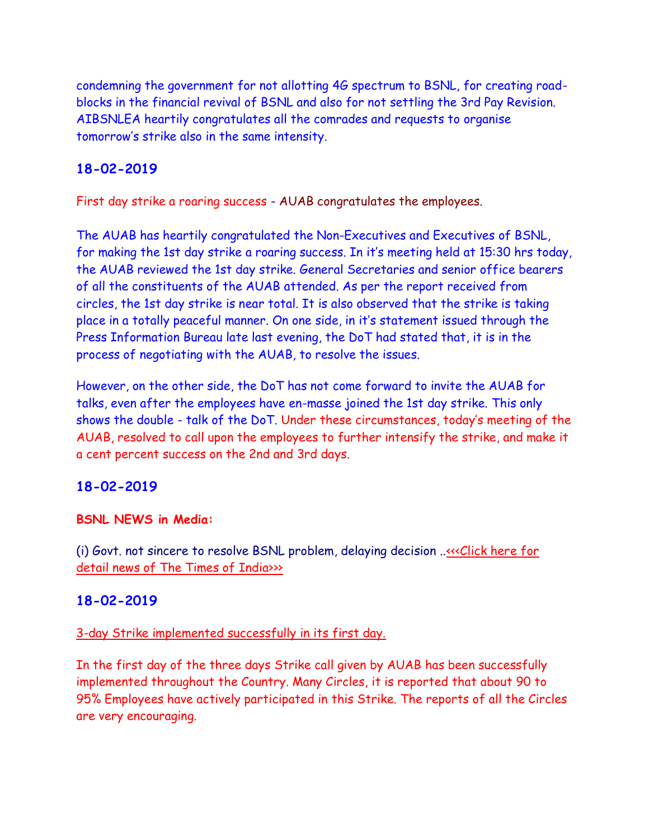condemning the government for not allotting 4G spectrum to BSNL, for creating roadblocks in the financial revival of BSNL and also for not settling the 3rd Pay Revision. AIBSNLEA heartily congratulates all the comrades and requests to organise tomorrow's strike also in the same intensity.

# **18-02-2019**

First day strike a roaring success - AUAB congratulates the employees.

The AUAB has heartily congratulated the Non-Executives and Executives of BSNL, for making the 1st day strike a roaring success. In it's meeting held at 15:30 hrs today, the AUAB reviewed the 1st day strike. General Secretaries and senior office bearers of all the constituents of the AUAB attended. As per the report received from circles, the 1st day strike is near total. It is also observed that the strike is taking place in a totally peaceful manner. On one side, in it's statement issued through the Press Information Bureau late last evening, the DoT had stated that, it is in the process of negotiating with the AUAB, to resolve the issues.

However, on the other side, the DoT has not come forward to invite the AUAB for talks, even after the employees have en-masse joined the 1st day strike. This only shows the double - talk of the DoT. Under these circumstances, today's meeting of the AUAB, resolved to call upon the employees to further intensify the strike, and make it a cent percent success on the 2nd and 3rd days.

## **18-02-2019**

#### **BSNL NEWS in Media:**

(i) Govt. not sincere to resolve BSNL problem, delaying decision .[.<<<Click here for](https://timesofindia.indiatimes.com/business/india-business/govt-not-sincere-to-resolve-bsnl-problem-delaying-decision-to-benefit-pvt-telco-bsnl-union/articleshow/68051709.cms)  [detail news of The Times of India>>>](https://timesofindia.indiatimes.com/business/india-business/govt-not-sincere-to-resolve-bsnl-problem-delaying-decision-to-benefit-pvt-telco-bsnl-union/articleshow/68051709.cms)

## **18-02-2019**

### 3-day Strike implemented successfully in its first day.

In the first day of the three days Strike call given by AUAB has been successfully implemented throughout the Country. Many Circles, it is reported that about 90 to 95% Employees have actively participated in this Strike. The reports of all the Circles are very encouraging.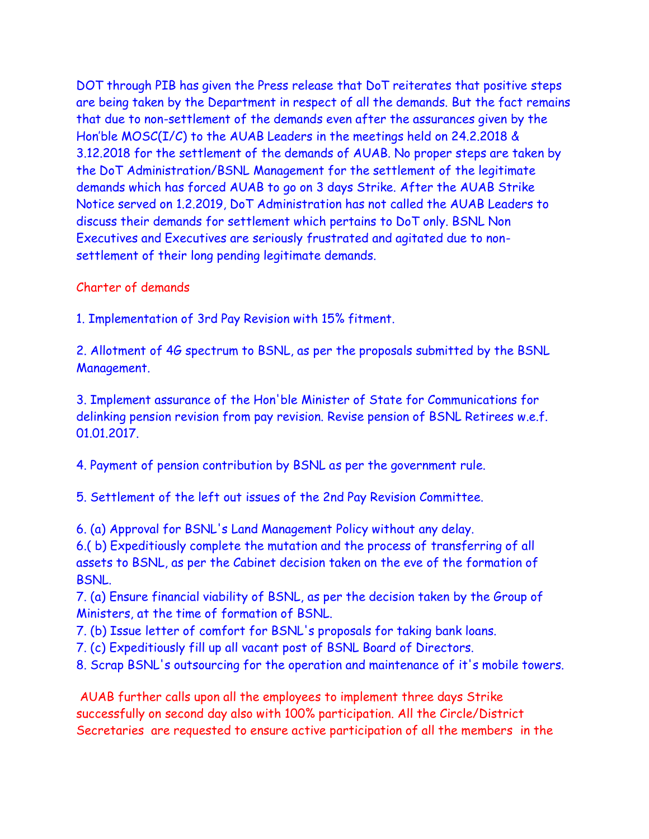DOT through PIB has given the Press release that DoT reiterates that positive steps are being taken by the Department in respect of all the demands. But the fact remains that due to non-settlement of the demands even after the assurances given by the Hon'ble MOSC(I/C) to the AUAB Leaders in the meetings held on 24.2.2018 & 3.12.2018 for the settlement of the demands of AUAB. No proper steps are taken by the DoT Administration/BSNL Management for the settlement of the legitimate demands which has forced AUAB to go on 3 days Strike. After the AUAB Strike Notice served on 1.2.2019, DoT Administration has not called the AUAB Leaders to discuss their demands for settlement which pertains to DoT only. BSNL Non Executives and Executives are seriously frustrated and agitated due to nonsettlement of their long pending legitimate demands.

#### Charter of demands

1. Implementation of 3rd Pay Revision with 15% fitment.

2. Allotment of 4G spectrum to BSNL, as per the proposals submitted by the BSNL Management.

3. Implement assurance of the Hon'ble Minister of State for Communications for delinking pension revision from pay revision. Revise pension of BSNL Retirees w.e.f. 01.01.2017.

4. Payment of pension contribution by BSNL as per the government rule.

5. Settlement of the left out issues of the 2nd Pay Revision Committee.

6. (a) Approval for BSNL's Land Management Policy without any delay.

6.( b) Expeditiously complete the mutation and the process of transferring of all assets to BSNL, as per the Cabinet decision taken on the eve of the formation of BSNL.

7. (a) Ensure financial viability of BSNL, as per the decision taken by the Group of Ministers, at the time of formation of BSNL.

7. (b) Issue letter of comfort for BSNL's proposals for taking bank loans.

7. (c) Expeditiously fill up all vacant post of BSNL Board of Directors.

8. Scrap BSNL's outsourcing for the operation and maintenance of it's mobile towers.

AUAB further calls upon all the employees to implement three days Strike successfully on second day also with 100% participation. All the Circle/District Secretaries are requested to ensure active participation of all the members in the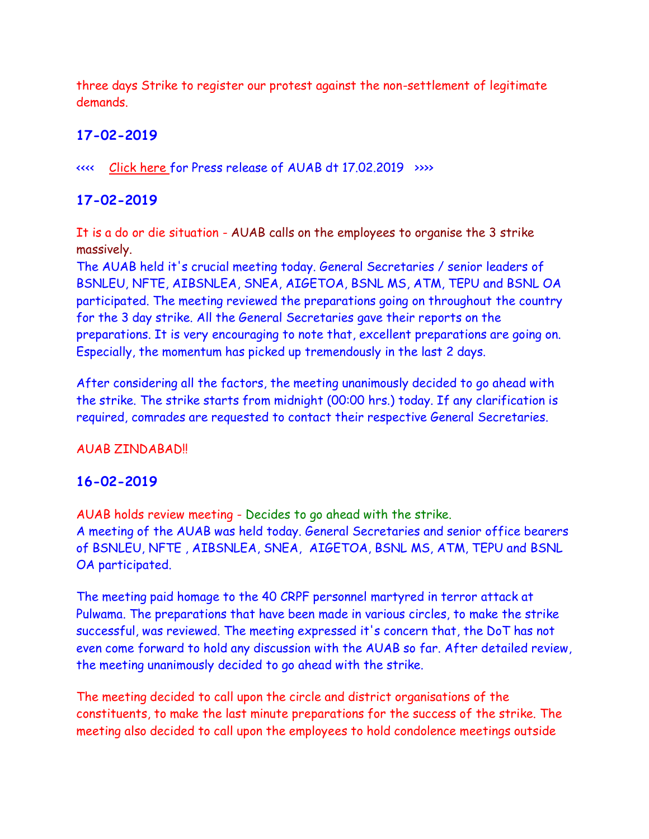three days Strike to register our protest against the non-settlement of legitimate demands.

# **17-02-2019**

<<<< [Click here](http://aibsnleawb.org/Press%20release-17.02.2019.pdf) for Press release of AUAB dt 17.02.2019 >>>>

# **17-02-2019**

It is a do or die situation - AUAB calls on the employees to organise the 3 strike massively.

The AUAB held it's crucial meeting today. General Secretaries / senior leaders of BSNLEU, NFTE, AIBSNLEA, SNEA, AIGETOA, BSNL MS, ATM, TEPU and BSNL OA participated. The meeting reviewed the preparations going on throughout the country for the 3 day strike. All the General Secretaries gave their reports on the preparations. It is very encouraging to note that, excellent preparations are going on. Especially, the momentum has picked up tremendously in the last 2 days.

After considering all the factors, the meeting unanimously decided to go ahead with the strike. The strike starts from midnight (00:00 hrs.) today. If any clarification is required, comrades are requested to contact their respective General Secretaries.

### AUAB ZINDABAD!!

## **16-02-2019**

AUAB holds review meeting - Decides to go ahead with the strike. A meeting of the AUAB was held today. General Secretaries and senior office bearers of BSNLEU, NFTE , AIBSNLEA, SNEA, AIGETOA, BSNL MS, ATM, TEPU and BSNL OA participated.

The meeting paid homage to the 40 CRPF personnel martyred in terror attack at Pulwama. The preparations that have been made in various circles, to make the strike successful, was reviewed. The meeting expressed it's concern that, the DoT has not even come forward to hold any discussion with the AUAB so far. After detailed review, the meeting unanimously decided to go ahead with the strike.

The meeting decided to call upon the circle and district organisations of the constituents, to make the last minute preparations for the success of the strike. The meeting also decided to call upon the employees to hold condolence meetings outside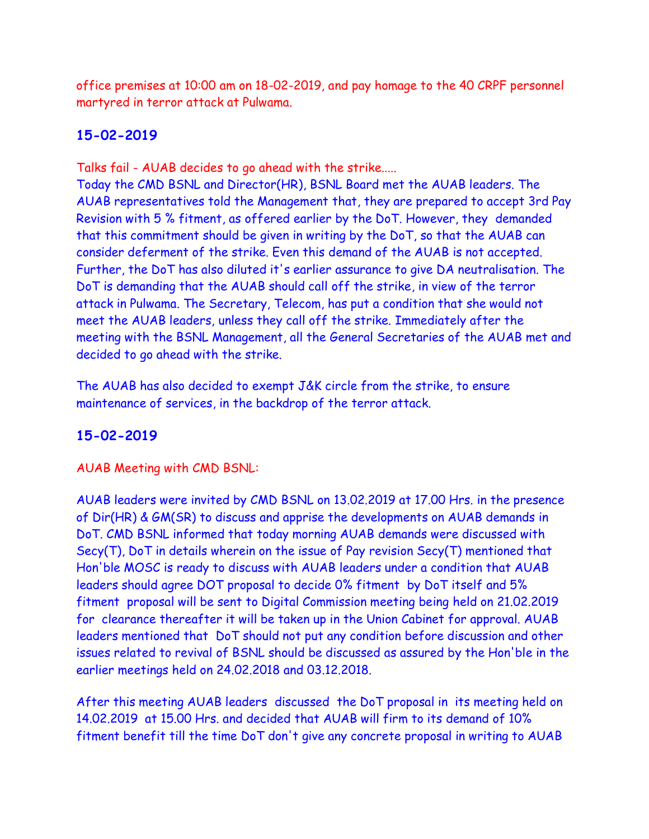office premises at 10:00 am on 18-02-2019, and pay homage to the 40 CRPF personnel martyred in terror attack at Pulwama.

# **15-02-2019**

Talks fail - AUAB decides to go ahead with the strike.....

Today the CMD BSNL and Director(HR), BSNL Board met the AUAB leaders. The AUAB representatives told the Management that, they are prepared to accept 3rd Pay Revision with 5 % fitment, as offered earlier by the DoT. However, they demanded that this commitment should be given in writing by the DoT, so that the AUAB can consider deferment of the strike. Even this demand of the AUAB is not accepted. Further, the DoT has also diluted it's earlier assurance to give DA neutralisation. The DoT is demanding that the AUAB should call off the strike, in view of the terror attack in Pulwama. The Secretary, Telecom, has put a condition that she would not meet the AUAB leaders, unless they call off the strike. Immediately after the meeting with the BSNL Management, all the General Secretaries of the AUAB met and decided to go ahead with the strike.

The AUAB has also decided to exempt J&K circle from the strike, to ensure maintenance of services, in the backdrop of the terror attack.

# **15-02-2019**

AUAB Meeting with CMD BSNL:

AUAB leaders were invited by CMD BSNL on 13.02.2019 at 17.00 Hrs. in the presence of Dir(HR) & GM(SR) to discuss and apprise the developments on AUAB demands in DoT. CMD BSNL informed that today morning AUAB demands were discussed with Secy(T), DoT in details wherein on the issue of Pay revision Secy(T) mentioned that Hon'ble MOSC is ready to discuss with AUAB leaders under a condition that AUAB leaders should agree DOT proposal to decide 0% fitment by DoT itself and 5% fitment proposal will be sent to Digital Commission meeting being held on 21.02.2019 for clearance thereafter it will be taken up in the Union Cabinet for approval. AUAB leaders mentioned that DoT should not put any condition before discussion and other issues related to revival of BSNL should be discussed as assured by the Hon'ble in the earlier meetings held on 24.02.2018 and 03.12.2018.

After this meeting AUAB leaders discussed the DoT proposal in its meeting held on 14.02.2019 at 15.00 Hrs. and decided that AUAB will firm to its demand of 10% fitment benefit till the time DoT don't give any concrete proposal in writing to AUAB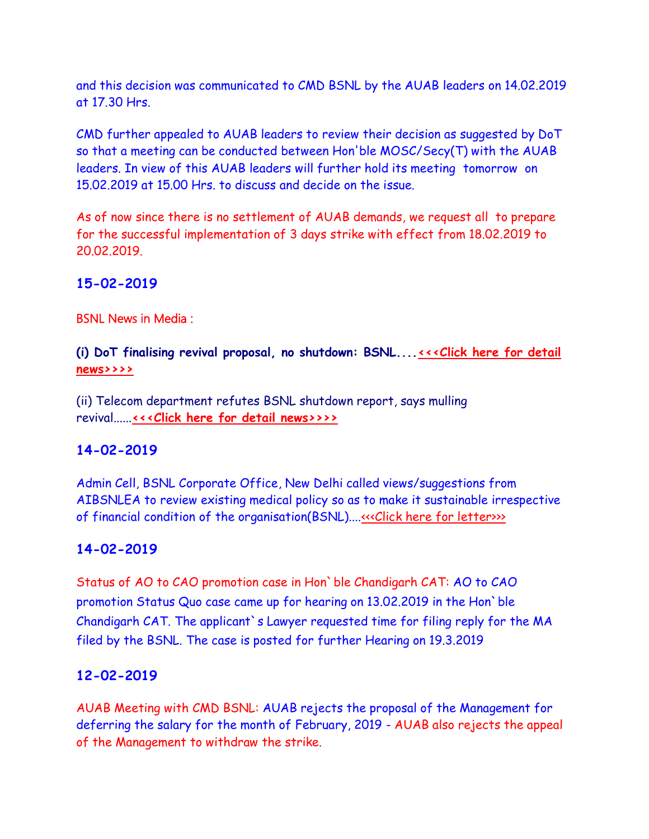and this decision was communicated to CMD BSNL by the AUAB leaders on 14.02.2019 at 17.30 Hrs.

CMD further appealed to AUAB leaders to review their decision as suggested by DoT so that a meeting can be conducted between Hon'ble MOSC/Secy(T) with the AUAB leaders. In view of this AUAB leaders will further hold its meeting tomorrow on 15.02.2019 at 15.00 Hrs. to discuss and decide on the issue.

As of now since there is no settlement of AUAB demands, we request all to prepare for the successful implementation of 3 days strike with effect from 18.02.2019 to 20.02.2019.

## **15-02-2019**

BSNL News in Media :

**(i) DoT finalising revival proposal, no shutdown: BSNL...[.<<<Click here for detail](https://www.business-standard.com/article/news-ians/dot-finalising-revival-proposal-no-shutdown-bsnl-119021401300_1.html)  [news>>>>](https://www.business-standard.com/article/news-ians/dot-finalising-revival-proposal-no-shutdown-bsnl-119021401300_1.html)**

(ii) Telecom department refutes BSNL shutdown report, says mulling revival......**[<<<Click here for detail news>>>>](https://telecom.economictimes.indiatimes.com/news/telecom-department-considering-bsnl-revival/67997299)**

## **14-02-2019**

Admin Cell, BSNL Corporate Office, New Delhi called views/suggestions from AIBSNLEA to review existing medical policy so as to make it sustainable irrespective of financial condition of the organisation(BSNL)...[.<<<Click here for letter>>>](http://www.aibsnleachq.in/New%20Doc%202019-02-14%2015.21.35_1.pdf)>

## **14-02-2019**

Status of AO to CAO promotion case in Hon`ble Chandigarh CAT: AO to CAO promotion Status Quo case came up for hearing on 13.02.2019 in the Hon`ble Chandigarh CAT. The applicant`s Lawyer requested time for filing reply for the MA filed by the BSNL. The case is posted for further Hearing on 19.3.2019

## **12-02-2019**

AUAB Meeting with CMD BSNL: AUAB rejects the proposal of the Management for deferring the salary for the month of February, 2019 - AUAB also rejects the appeal of the Management to withdraw the strike.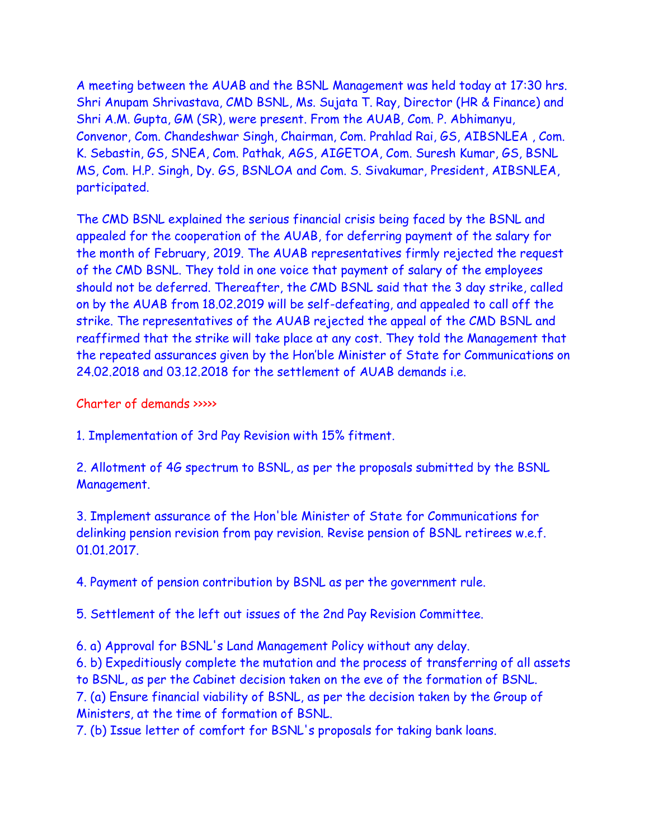A meeting between the AUAB and the BSNL Management was held today at 17:30 hrs. Shri Anupam Shrivastava, CMD BSNL, Ms. Sujata T. Ray, Director (HR & Finance) and Shri A.M. Gupta, GM (SR), were present. From the AUAB, Com. P. Abhimanyu, Convenor, Com. Chandeshwar Singh, Chairman, Com. Prahlad Rai, GS, AIBSNLEA , Com. K. Sebastin, GS, SNEA, Com. Pathak, AGS, AIGETOA, Com. Suresh Kumar, GS, BSNL MS, Com. H.P. Singh, Dy. GS, BSNLOA and Com. S. Sivakumar, President, AIBSNLEA, participated.

The CMD BSNL explained the serious financial crisis being faced by the BSNL and appealed for the cooperation of the AUAB, for deferring payment of the salary for the month of February, 2019. The AUAB representatives firmly rejected the request of the CMD BSNL. They told in one voice that payment of salary of the employees should not be deferred. Thereafter, the CMD BSNL said that the 3 day strike, called on by the AUAB from 18.02.2019 will be self-defeating, and appealed to call off the strike. The representatives of the AUAB rejected the appeal of the CMD BSNL and reaffirmed that the strike will take place at any cost. They told the Management that the repeated assurances given by the Hon'ble Minister of State for Communications on 24.02.2018 and 03.12.2018 for the settlement of AUAB demands i.e.

Charter of demands >>>>>

1. Implementation of 3rd Pay Revision with 15% fitment.

2. Allotment of 4G spectrum to BSNL, as per the proposals submitted by the BSNL Management.

3. Implement assurance of the Hon'ble Minister of State for Communications for delinking pension revision from pay revision. Revise pension of BSNL retirees w.e.f. 01.01.2017.

4. Payment of pension contribution by BSNL as per the government rule.

5. Settlement of the left out issues of the 2nd Pay Revision Committee.

6. a) Approval for BSNL's Land Management Policy without any delay.

6. b) Expeditiously complete the mutation and the process of transferring of all assets to BSNL, as per the Cabinet decision taken on the eve of the formation of BSNL. 7. (a) Ensure financial viability of BSNL, as per the decision taken by the Group of Ministers, at the time of formation of BSNL.

7. (b) Issue letter of comfort for BSNL's proposals for taking bank loans.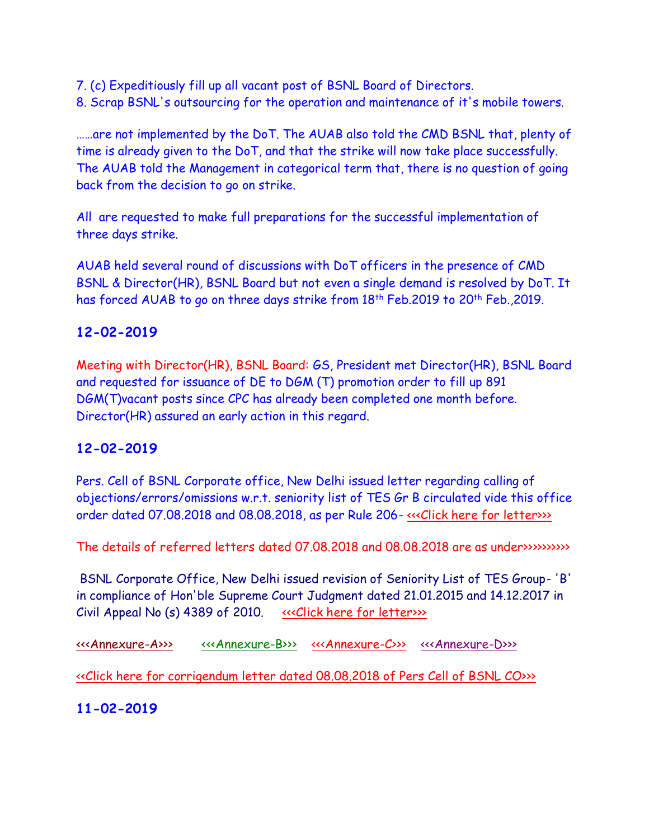- 7. (c) Expeditiously fill up all vacant post of BSNL Board of Directors.
- 8. Scrap BSNL's outsourcing for the operation and maintenance of it's mobile towers.

……are not implemented by the DoT. The AUAB also told the CMD BSNL that, plenty of time is already given to the DoT, and that the strike will now take place successfully. The AUAB told the Management in categorical term that, there is no question of going back from the decision to go on strike.

All are requested to make full preparations for the successful implementation of three days strike.

AUAB held several round of discussions with DoT officers in the presence of CMD BSNL & Director(HR), BSNL Board but not even a single demand is resolved by DoT. It has forced AUAB to go on three days strike from 18<sup>th</sup> Feb.2019 to 20<sup>th</sup> Feb.,2019.

# **12-02-2019**

Meeting with Director(HR), BSNL Board: GS, President met Director(HR), BSNL Board and requested for issuance of DE to DGM (T) promotion order to fill up 891 DGM(T)vacant posts since CPC has already been completed one month before. Director(HR) assured an early action in this regard.

# **12-02-2019**

Pers. Cell of BSNL Corporate office, New Delhi issued letter regarding calling of objections/errors/omissions w.r.t. seniority list of TES Gr B circulated vide this office order dated 07.08.2018 and 08.08.2018, as per Rule 206- «<< Click here for letter>>>

The details of referred letters dated 07.08.2018 and 08.08.2018 are as under>>>>>>>>>>

BSNL Corporate Office, New Delhi issued revision of Seniority List of TES Group- 'B' in compliance of Hon'ble Supreme Court Judgment dated 21.01.2015 and 14.12.2017 in Civil Appeal No (s) 4389 of 2010. «<< Click here for letter>>>

[<<<Annexure-A>>>](http://www.aibsnleachq.in/NET-206-07082018%20-%20A.xls) [<<<Annexure-B>>>](http://www.aibsnleachq.in/NET-206-07082018%20-%20B.xls) [<<<Annexure-C>>>](http://www.aibsnleachq.in/NET-206-07082018%20-%20C.xls) [<<<Annexure-D>>>](http://www.aibsnleachq.in/NET-206-07082018%20-%20D.xls)  [<<Click here for corrigendum letter dated 08.08.2018 of Pers Cell of BSNL CO>>>](http://www.aibsnleachq.in/Corrigendum_080818.pdf)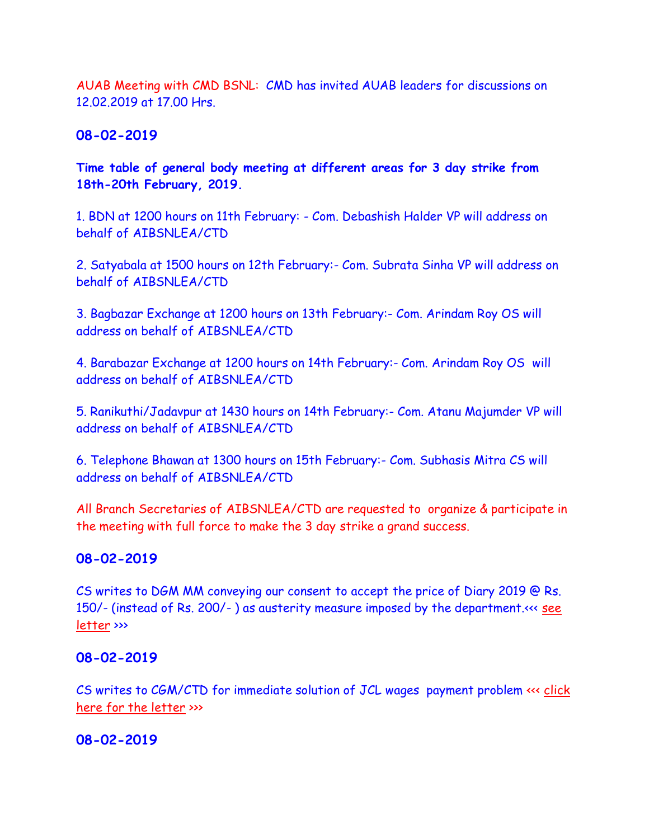AUAB Meeting with CMD BSNL: CMD has invited AUAB leaders for discussions on 12.02.2019 at 17.00 Hrs.

**08-02-2019**

**Time table of general body meeting at different areas for 3 day strike from 18th-20th February, 2019.**

1. BDN at 1200 hours on 11th February: - Com. Debashish Halder VP will address on behalf of AIBSNLEA/CTD

2. Satyabala at 1500 hours on 12th February:- Com. Subrata Sinha VP will address on behalf of AIBSNLEA/CTD

3. Bagbazar Exchange at 1200 hours on 13th February:- Com. Arindam Roy OS will address on behalf of AIBSNLEA/CTD

4. Barabazar Exchange at 1200 hours on 14th February:- Com. Arindam Roy OS will address on behalf of AIBSNLEA/CTD

5. Ranikuthi/Jadavpur at 1430 hours on 14th February:- Com. Atanu Majumder VP will address on behalf of AIBSNLEA/CTD

6. Telephone Bhawan at 1300 hours on 15th February:- Com. Subhasis Mitra CS will address on behalf of AIBSNLEA/CTD

All Branch Secretaries of AIBSNLEA/CTD are requested to organize & participate in the meeting with full force to make the 3 day strike a grand success.

## **08-02-2019**

CS writes to DGM MM conveying our consent to accept the price of Diary 2019 @ Rs. 150/- (instead of Rs. 200/- ) as austerity measure imposed by the department.<<< [see](http://aibsnleawb.org/DGM%20MM%2007022019.pdf)  [letter](http://aibsnleawb.org/DGM%20MM%2007022019.pdf) >>>

### **08-02-2019**

CS writes to CGM/CTD for immediate solution of JCL wages payment problem <<< [click](http://aibsnleawb.org/CGM%2007022019.pdf)  [here for the letter](http://aibsnleawb.org/CGM%2007022019.pdf) >>>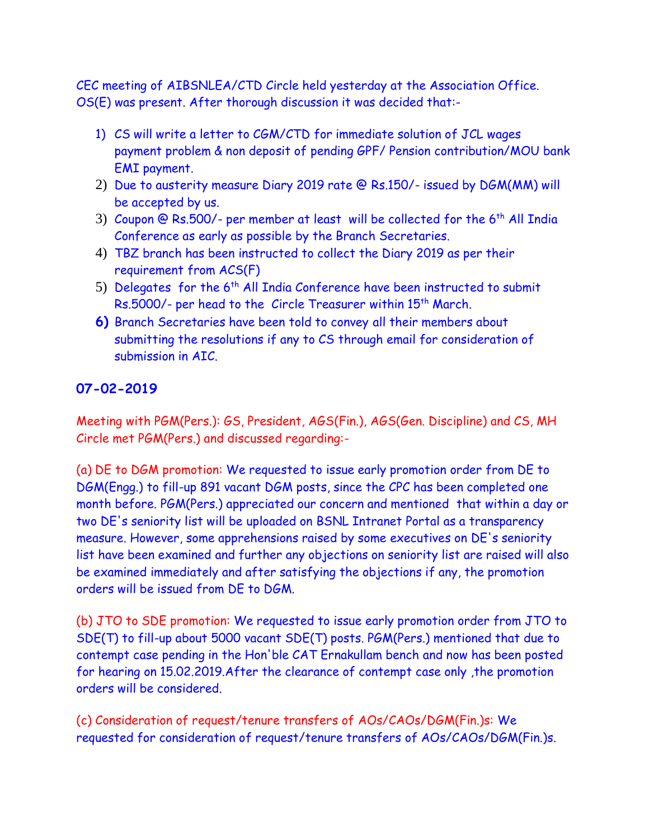CEC meeting of AIBSNLEA/CTD Circle held yesterday at the Association Office. OS(E) was present. After thorough discussion it was decided that:-

- 1) CS will write a letter to CGM/CTD for immediate solution of JCL wages payment problem & non deposit of pending GPF/ Pension contribution/MOU bank EMI payment.
- 2) Due to austerity measure Diary 2019 rate @ Rs.150/- issued by DGM(MM) will be accepted by us.
- 3) Coupon @ Rs.500/- per member at least will be collected for the  $6<sup>th</sup>$  All India Conference as early as possible by the Branch Secretaries.
- 4) TBZ branch has been instructed to collect the Diary 2019 as per their requirement from ACS(F)
- 5) Delegates for the  $6<sup>th</sup>$  All India Conference have been instructed to submit Rs.5000/- per head to the Circle Treasurer within 15<sup>th</sup> March.
- **6)** Branch Secretaries have been told to convey all their members about submitting the resolutions if any to CS through email for consideration of submission in AIC.

# **07-02-2019**

Meeting with PGM(Pers.): GS, President, AGS(Fin.), AGS(Gen. Discipline) and CS, MH Circle met PGM(Pers.) and discussed regarding:-

(a) DE to DGM promotion: We requested to issue early promotion order from DE to DGM(Engg.) to fill-up 891 vacant DGM posts, since the CPC has been completed one month before. PGM(Pers.) appreciated our concern and mentioned that within a day or two DE's seniority list will be uploaded on BSNL Intranet Portal as a transparency measure. However, some apprehensions raised by some executives on DE's seniority list have been examined and further any objections on seniority list are raised will also be examined immediately and after satisfying the objections if any, the promotion orders will be issued from DE to DGM.

(b) JTO to SDE promotion: We requested to issue early promotion order from JTO to SDE(T) to fill-up about 5000 vacant SDE(T) posts. PGM(Pers.) mentioned that due to contempt case pending in the Hon'ble CAT Ernakullam bench and now has been posted for hearing on 15.02.2019.After the clearance of contempt case only ,the promotion orders will be considered.

(c) Consideration of request/tenure transfers of AOs/CAOs/DGM(Fin.)s: We requested for consideration of request/tenure transfers of AOs/CAOs/DGM(Fin.)s.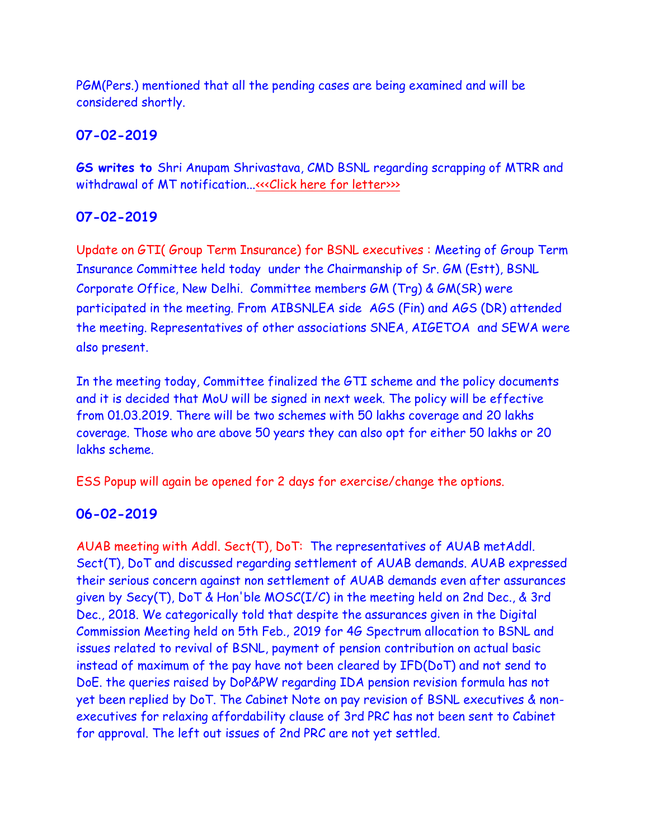PGM(Pers.) mentioned that all the pending cases are being examined and will be considered shortly.

# **07-02-2019**

**GS writes to** Shri Anupam Shrivastava, CMD BSNL regarding scrapping of MTRR and withdrawal of MT notification..[.<<<Click here for letter>>>](http://www.aibsnleachq.in/mt_07022019.pdf)>

# **07-02-2019**

Update on GTI( Group Term Insurance) for BSNL executives : Meeting of Group Term Insurance Committee held today under the Chairmanship of Sr. GM (Estt), BSNL Corporate Office, New Delhi. Committee members GM (Trg) & GM(SR) were participated in the meeting. From AIBSNLEA side AGS (Fin) and AGS (DR) attended the meeting. Representatives of other associations SNEA, AIGETOA and SEWA were also present.

In the meeting today, Committee finalized the GTI scheme and the policy documents and it is decided that MoU will be signed in next week. The policy will be effective from 01.03.2019. There will be two schemes with 50 lakhs coverage and 20 lakhs coverage. Those who are above 50 years they can also opt for either 50 lakhs or 20 lakhs scheme.

ESS Popup will again be opened for 2 days for exercise/change the options.

# **06-02-2019**

AUAB meeting with Addl. Sect(T), DoT: The representatives of AUAB metAddl. Sect(T), DoT and discussed regarding settlement of AUAB demands. AUAB expressed their serious concern against non settlement of AUAB demands even after assurances given by Secy(T), DoT & Hon'ble MOSC(I/C) in the meeting held on 2nd Dec., & 3rd Dec., 2018. We categorically told that despite the assurances given in the Digital Commission Meeting held on 5th Feb., 2019 for 4G Spectrum allocation to BSNL and issues related to revival of BSNL, payment of pension contribution on actual basic instead of maximum of the pay have not been cleared by IFD(DoT) and not send to DoE. the queries raised by DoP&PW regarding IDA pension revision formula has not yet been replied by DoT. The Cabinet Note on pay revision of BSNL executives & nonexecutives for relaxing affordability clause of 3rd PRC has not been sent to Cabinet for approval. The left out issues of 2nd PRC are not yet settled.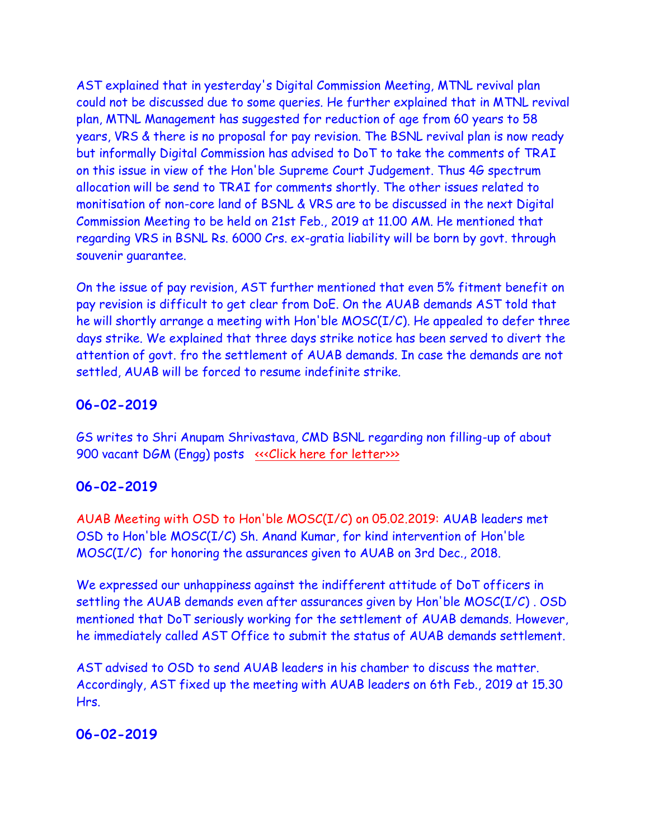AST explained that in yesterday's Digital Commission Meeting, MTNL revival plan could not be discussed due to some queries. He further explained that in MTNL revival plan, MTNL Management has suggested for reduction of age from 60 years to 58 years, VRS & there is no proposal for pay revision. The BSNL revival plan is now ready but informally Digital Commission has advised to DoT to take the comments of TRAI on this issue in view of the Hon'ble Supreme Court Judgement. Thus 4G spectrum allocation will be send to TRAI for comments shortly. The other issues related to monitisation of non-core land of BSNL & VRS are to be discussed in the next Digital Commission Meeting to be held on 21st Feb., 2019 at 11.00 AM. He mentioned that regarding VRS in BSNL Rs. 6000 Crs. ex-gratia liability will be born by govt. through souvenir guarantee.

On the issue of pay revision, AST further mentioned that even 5% fitment benefit on pay revision is difficult to get clear from DoE. On the AUAB demands AST told that he will shortly arrange a meeting with Hon'ble MOSC(I/C). He appealed to defer three days strike. We explained that three days strike notice has been served to divert the attention of govt. fro the settlement of AUAB demands. In case the demands are not settled, AUAB will be forced to resume indefinite strike.

#### **06-02-2019**

GS writes to Shri Anupam Shrivastava, CMD BSNL regarding non filling-up of about 900 vacant DGM (Engg) posts «<< Click here for letter>>>

#### **06-02-2019**

AUAB Meeting with OSD to Hon'ble MOSC(I/C) on 05.02.2019: AUAB leaders met OSD to Hon'ble MOSC(I/C) Sh. Anand Kumar, for kind intervention of Hon'ble MOSC(I/C) for honoring the assurances given to AUAB on 3rd Dec., 2018.

We expressed our unhappiness against the indifferent attitude of DoT officers in settling the AUAB demands even after assurances given by Hon'ble MOSC(I/C) . OSD mentioned that DoT seriously working for the settlement of AUAB demands. However, he immediately called AST Office to submit the status of AUAB demands settlement.

AST advised to OSD to send AUAB leaders in his chamber to discuss the matter. Accordingly, AST fixed up the meeting with AUAB leaders on 6th Feb., 2019 at 15.30 Hrs.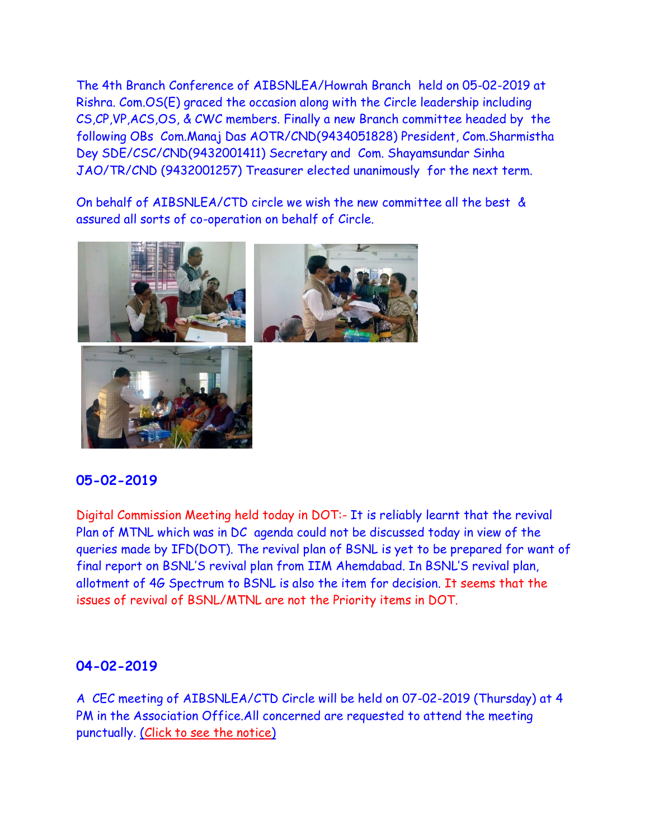The 4th Branch Conference of AIBSNLEA/Howrah Branch held on 05-02-2019 at Rishra. Com.OS(E) graced the occasion along with the Circle leadership including CS,CP,VP,ACS,OS, & CWC members. Finally a new Branch committee headed by the following OBs Com.Manaj Das AOTR/CND(9434051828) President, Com.Sharmistha Dey SDE/CSC/CND(9432001411) Secretary and Com. Shayamsundar Sinha JAO/TR/CND (9432001257) Treasurer elected unanimously for the next term.

On behalf of AIBSNLEA/CTD circle we wish the new committee all the best & assured all sorts of co-operation on behalf of Circle.



## **05-02-2019**

Digital Commission Meeting held today in DOT:- It is reliably learnt that the revival Plan of MTNL which was in DC agenda could not be discussed today in view of the queries made by IFD(DOT). The revival plan of BSNL is yet to be prepared for want of final report on BSNL'S revival plan from IIM Ahemdabad. In BSNL'S revival plan, allotment of 4G Spectrum to BSNL is also the item for decision. It seems that the issues of revival of BSNL/MTNL are not the Priority items in DOT.

### **04-02-2019**

A CEC meeting of AIBSNLEA/CTD Circle will be held on 07-02-2019 (Thursday) at 4 PM in the Association Office.All concerned are requested to attend the meeting punctually. [\(Click to see the notice\)](http://aibsnleawb.org/NOTICE%2007022019.pdf)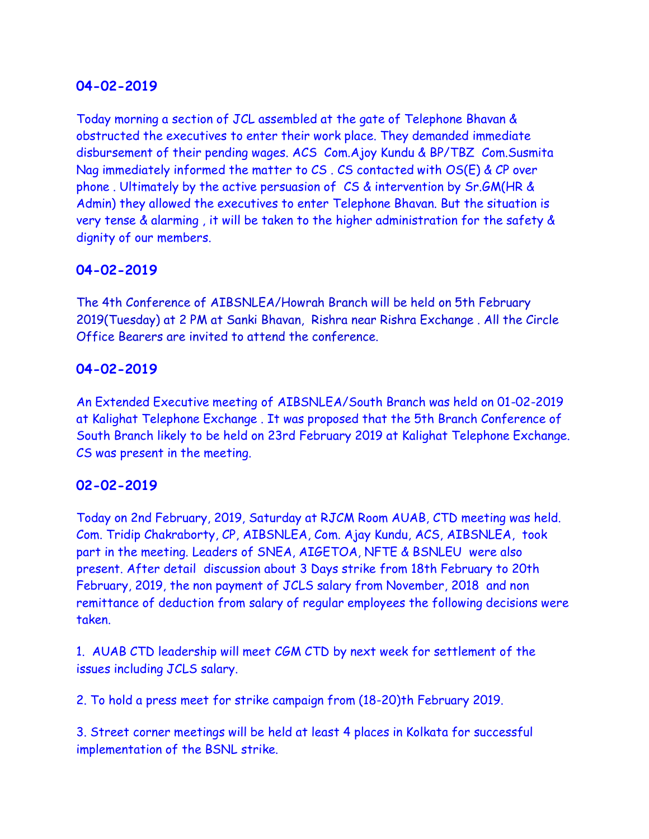## **04-02-2019**

Today morning a section of JCL assembled at the gate of Telephone Bhavan & obstructed the executives to enter their work place. They demanded immediate disbursement of their pending wages. ACS Com.Ajoy Kundu & BP/TBZ Com.Susmita Nag immediately informed the matter to CS . CS contacted with OS(E) & CP over phone . Ultimately by the active persuasion of CS & intervention by Sr.GM(HR & Admin) they allowed the executives to enter Telephone Bhavan. But the situation is very tense & alarming , it will be taken to the higher administration for the safety & dignity of our members.

## **04-02-2019**

The 4th Conference of AIBSNLEA/Howrah Branch will be held on 5th February 2019(Tuesday) at 2 PM at Sanki Bhavan, Rishra near Rishra Exchange . All the Circle Office Bearers are invited to attend the conference.

### **04-02-2019**

An Extended Executive meeting of AIBSNLEA/South Branch was held on 01-02-2019 at Kalighat Telephone Exchange . It was proposed that the 5th Branch Conference of South Branch likely to be held on 23rd February 2019 at Kalighat Telephone Exchange. CS was present in the meeting.

### **02-02-2019**

Today on 2nd February, 2019, Saturday at RJCM Room AUAB, CTD meeting was held. Com. Tridip Chakraborty, CP, AIBSNLEA, Com. Ajay Kundu, ACS, AIBSNLEA, took part in the meeting. Leaders of SNEA, AIGETOA, NFTE & BSNLEU were also present. After detail discussion about 3 Days strike from 18th February to 20th February, 2019, the non payment of JCLS salary from November, 2018 and non remittance of deduction from salary of regular employees the following decisions were taken.

1. AUAB CTD leadership will meet CGM CTD by next week for settlement of the issues including JCLS salary.

2. To hold a press meet for strike campaign from (18-20)th February 2019.

3. Street corner meetings will be held at least 4 places in Kolkata for successful implementation of the BSNL strike.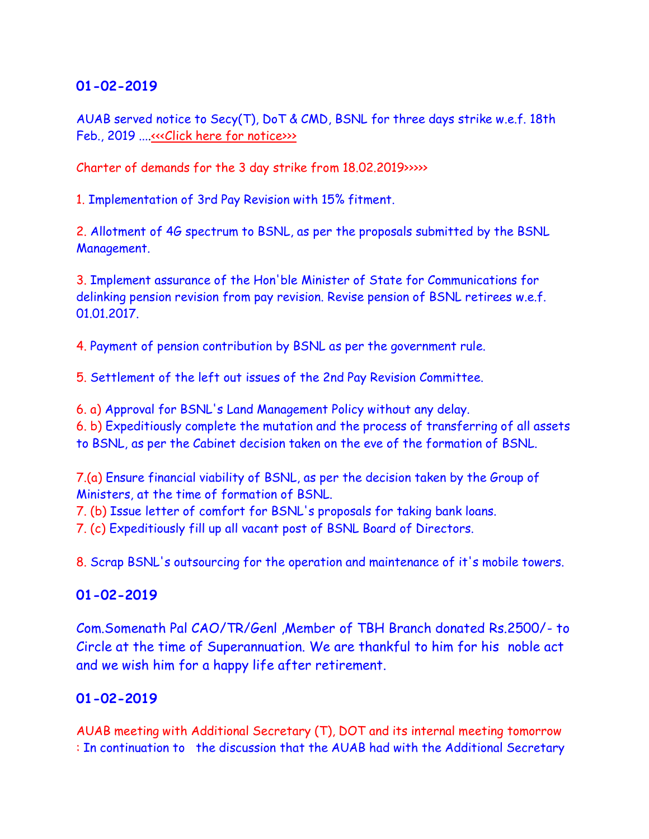## **01-02-2019**

AUAB served notice to Secy(T), DoT & CMD, BSNL for three days strike w.e.f. 18th Feb., 2019 ....«<< Click here for notice>>>

Charter of demands for the 3 day strike from 18.02.2019>>>>>

1. Implementation of 3rd Pay Revision with 15% fitment.

2. Allotment of 4G spectrum to BSNL, as per the proposals submitted by the BSNL Management.

3. Implement assurance of the Hon'ble Minister of State for Communications for delinking pension revision from pay revision. Revise pension of BSNL retirees w.e.f. 01.01.2017.

4. Payment of pension contribution by BSNL as per the government rule.

5. Settlement of the left out issues of the 2nd Pay Revision Committee.

6. a) Approval for BSNL's Land Management Policy without any delay.

6. b) Expeditiously complete the mutation and the process of transferring of all assets to BSNL, as per the Cabinet decision taken on the eve of the formation of BSNL.

7.(a) Ensure financial viability of BSNL, as per the decision taken by the Group of Ministers, at the time of formation of BSNL.

7. (b) Issue letter of comfort for BSNL's proposals for taking bank loans.

7. (c) Expeditiously fill up all vacant post of BSNL Board of Directors.

8. Scrap BSNL's outsourcing for the operation and maintenance of it's mobile towers.

## **01-02-2019**

Com.Somenath Pal CAO/TR/Genl ,Member of TBH Branch donated Rs.2500/- to Circle at the time of Superannuation. We are thankful to him for his noble act and we wish him for a happy life after retirement.

## **01-02-2019**

AUAB meeting with Additional Secretary (T), DOT and its internal meeting tomorrow : In continuation to the discussion that the AUAB had with the Additional Secretary